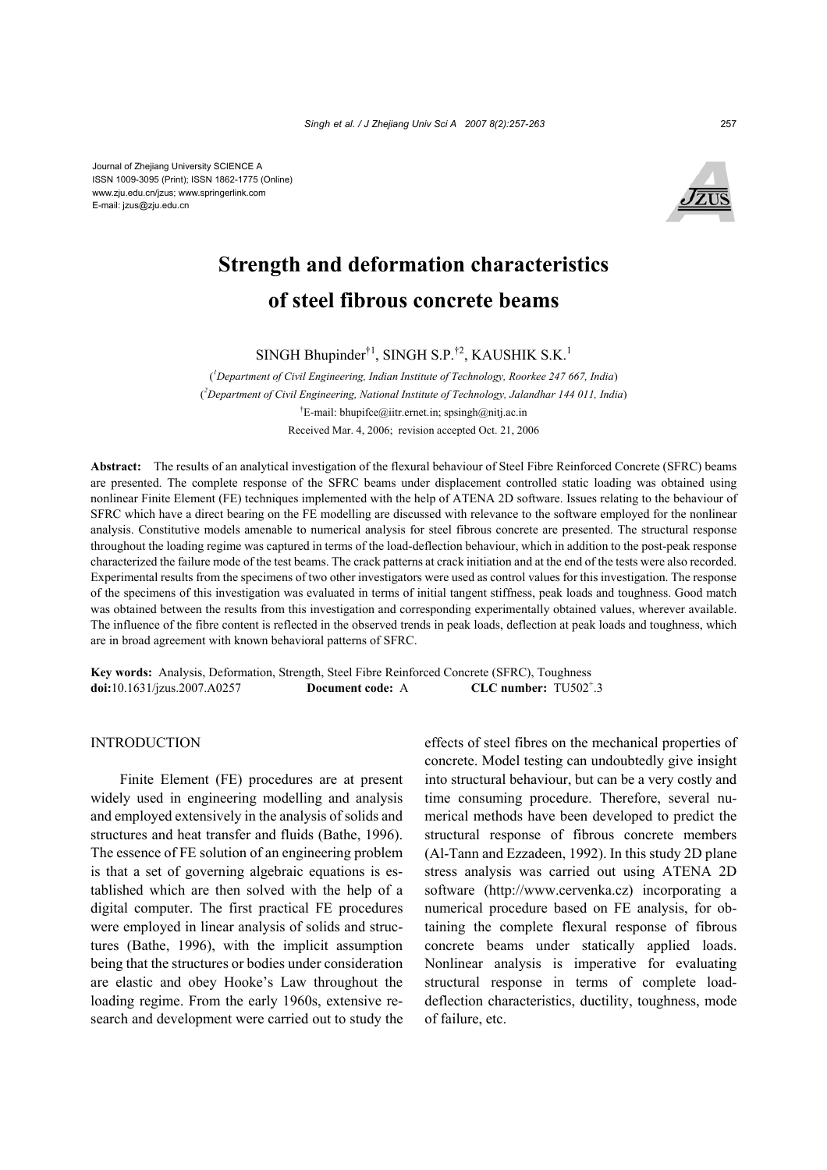Journal of Zhejiang University SCIENCE A ISSN 1009-3095 (Print); ISSN 1862-1775 (Online) www.zju.edu.cn/jzus; www.springerlink.com E-mail: jzus@zju.edu.cn



# **Strength and deformation characteristics of steel fibrous concrete beams**

SINGH Bhupinder $^{\dagger 1}$ , SINGH S.P.<sup> $\dagger 2$ </sup>, KAUSHIK S.K.<sup>1</sup>

( *1 Department of Civil Engineering, Indian Institute of Technology, Roorkee 247 667, India*) ( *2 Department of Civil Engineering, National Institute of Technology, Jalandhar 144 011, India*) † E-mail: bhupifce@iitr.ernet.in; spsingh@nitj.ac.in Received Mar. 4, 2006; revision accepted Oct. 21, 2006

**Abstract:** The results of an analytical investigation of the flexural behaviour of Steel Fibre Reinforced Concrete (SFRC) beams are presented. The complete response of the SFRC beams under displacement controlled static loading was obtained using nonlinear Finite Element (FE) techniques implemented with the help of ATENA 2D software. Issues relating to the behaviour of SFRC which have a direct bearing on the FE modelling are discussed with relevance to the software employed for the nonlinear analysis. Constitutive models amenable to numerical analysis for steel fibrous concrete are presented. The structural response throughout the loading regime was captured in terms of the load-deflection behaviour, which in addition to the post-peak response characterized the failure mode of the test beams. The crack patterns at crack initiation and at the end of the tests were also recorded. Experimental results from the specimens of two other investigators were used as control values for this investigation. The response of the specimens of this investigation was evaluated in terms of initial tangent stiffness, peak loads and toughness. Good match was obtained between the results from this investigation and corresponding experimentally obtained values, wherever available. The influence of the fibre content is reflected in the observed trends in peak loads, deflection at peak loads and toughness, which are in broad agreement with known behavioral patterns of SFRC.

**Key words:** Analysis, Deformation, Strength, Steel Fibre Reinforced Concrete (SFRC), Toughness **doi:**10.1631/jzus.2007.A0257 **Document code:** A CLC number:  $TU502^{\dagger}.3$ 

## **INTRODUCTION**

Finite Element (FE) procedures are at present widely used in engineering modelling and analysis and employed extensively in the analysis of solids and structures and heat transfer and fluids (Bathe, 1996). The essence of FE solution of an engineering problem is that a set of governing algebraic equations is established which are then solved with the help of a digital computer. The first practical FE procedures were employed in linear analysis of solids and structures (Bathe, 1996), with the implicit assumption being that the structures or bodies under consideration are elastic and obey Hooke's Law throughout the loading regime. From the early 1960s, extensive research and development were carried out to study the effects of steel fibres on the mechanical properties of concrete. Model testing can undoubtedly give insight into structural behaviour, but can be a very costly and time consuming procedure. Therefore, several numerical methods have been developed to predict the structural response of fibrous concrete members (Al-Tann and Ezzadeen, 1992). In this study 2D plane stress analysis was carried out using ATENA 2D software (http://www.cervenka.cz) incorporating a numerical procedure based on FE analysis, for obtaining the complete flexural response of fibrous concrete beams under statically applied loads. Nonlinear analysis is imperative for evaluating structural response in terms of complete loaddeflection characteristics, ductility, toughness, mode of failure, etc.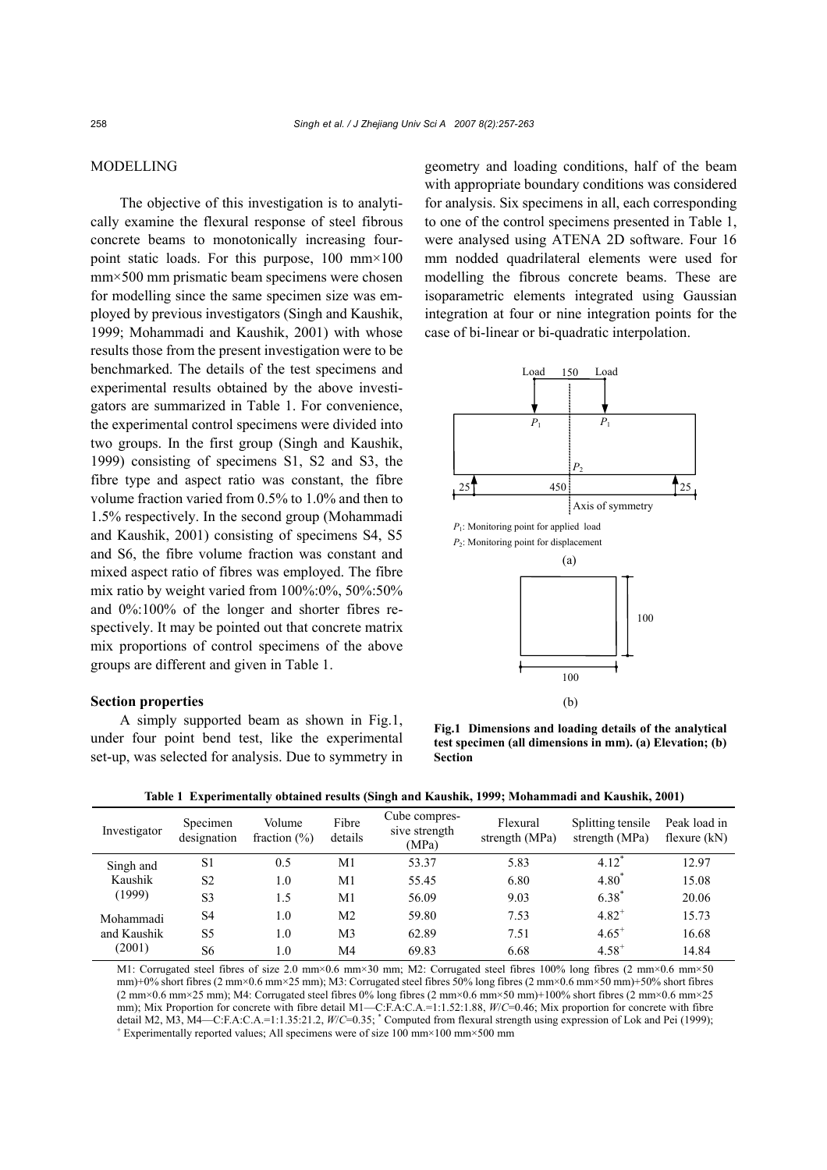## MODELLING

The objective of this investigation is to analytically examine the flexural response of steel fibrous concrete beams to monotonically increasing fourpoint static loads. For this purpose, 100 mm×100 mm×500 mm prismatic beam specimens were chosen for modelling since the same specimen size was employed by previous investigators (Singh and Kaushik, 1999; Mohammadi and Kaushik, 2001) with whose results those from the present investigation were to be benchmarked. The details of the test specimens and experimental results obtained by the above investigators are summarized in Table 1. For convenience, the experimental control specimens were divided into two groups. In the first group (Singh and Kaushik, 1999) consisting of specimens S1, S2 and S3, the fibre type and aspect ratio was constant, the fibre volume fraction varied from 0.5% to 1.0% and then to 1.5% respectively. In the second group (Mohammadi and Kaushik, 2001) consisting of specimens S4, S5 and S6, the fibre volume fraction was constant and mixed aspect ratio of fibres was employed. The fibre mix ratio by weight varied from 100%:0%, 50%:50% and 0%:100% of the longer and shorter fibres respectively. It may be pointed out that concrete matrix mix proportions of control specimens of the above groups are different and given in Table 1.

## **Section properties**

A simply supported beam as shown in Fig.1, under four point bend test, like the experimental set-up, was selected for analysis. Due to symmetry in geometry and loading conditions, half of the beam with appropriate boundary conditions was considered for analysis. Six specimens in all, each corresponding to one of the control specimens presented in Table 1, were analysed using ATENA 2D software. Four 16 mm nodded quadrilateral elements were used for modelling the fibrous concrete beams. These are isoparametric elements integrated using Gaussian integration at four or nine integration points for the case of bi-linear or bi-quadratic interpolation.



**Fig.1 Dimensions and loading details of the analytical test specimen (all dimensions in mm). (a) Elevation; (b) Section** 

| Investigator                       | Specimen<br>designation | Volume<br>fraction $(\% )$ | Fibre<br>details | Cube compres-<br>sive strength<br>(MPa) | Flexural<br>strength (MPa) | Splitting tensile<br>strength (MPa) | Peak load in<br>flexure $(kN)$ |
|------------------------------------|-------------------------|----------------------------|------------------|-----------------------------------------|----------------------------|-------------------------------------|--------------------------------|
| Singh and                          | S1                      | 0.5                        | M1               | 53.37                                   | 5.83                       | $4.12*$                             | 12.97                          |
| Kaushik<br>(1999)                  | S <sub>2</sub>          | 1.0                        | M1               | 55.45                                   | 6.80                       | $4.80^*$                            | 15.08                          |
|                                    | S3                      | 1.5                        | M1               | 56.09                                   | 9.03                       | $6.38*$                             | 20.06                          |
| Mohammadi<br>and Kaushik<br>(2001) | S4                      | 1.0                        | M2               | 59.80                                   | 7.53                       | $4.82^{+}$                          | 15.73                          |
|                                    | S5                      | 1.0                        | M3               | 62.89                                   | 7.51                       | $4.65^{+}$                          | 16.68                          |
|                                    | S6                      | 1.0                        | M4               | 69.83                                   | 6.68                       | $4.58^{+}$                          | 14.84                          |

**Table 1 Experimentally obtained results (Singh and Kaushik, 1999; Mohammadi and Kaushik, 2001)** 

M1: Corrugated steel fibres of size 2.0 mm×0.6 mm×30 mm; M2: Corrugated steel fibres 100% long fibres (2 mm×0.6 mm×50 mm)+0% short fibres (2 mm×0.6 mm×25 mm); M3: Corrugated steel fibres 50% long fibres (2 mm×0.6 mm×50 mm)+50% short fibres  $(2 \text{ mm} \times 0.6 \text{ mm} \times 25 \text{ mm})$ ; M4: Corrugated steel fibres 0% long fibres  $(2 \text{ mm} \times 0.6 \text{ mm} \times 50 \text{ mm})+100\%$  short fibres  $(2 \text{ mm} \times 0.6 \text{ mm} \times 25 \text{ mm})$ mm); Mix Proportion for concrete with fibre detail M1—C:F.A:C.A.=1:1.52:1.88, *W*/*C*=0.46; Mix proportion for concrete with fibre detail M2, M3, M4—C:F.A:C.A.=1:1.35:21.2,  $W/C=0.35$ ;  $^*$  Computed from flexural strength using expression of Lok and Pei (1999);  $^+$  Experimentally reported values; All engainers were of size 100 mm  $\times$  100 mm  $\times$  500 Experimentally reported values; All specimens were of size 100 mm×100 mm×500 mm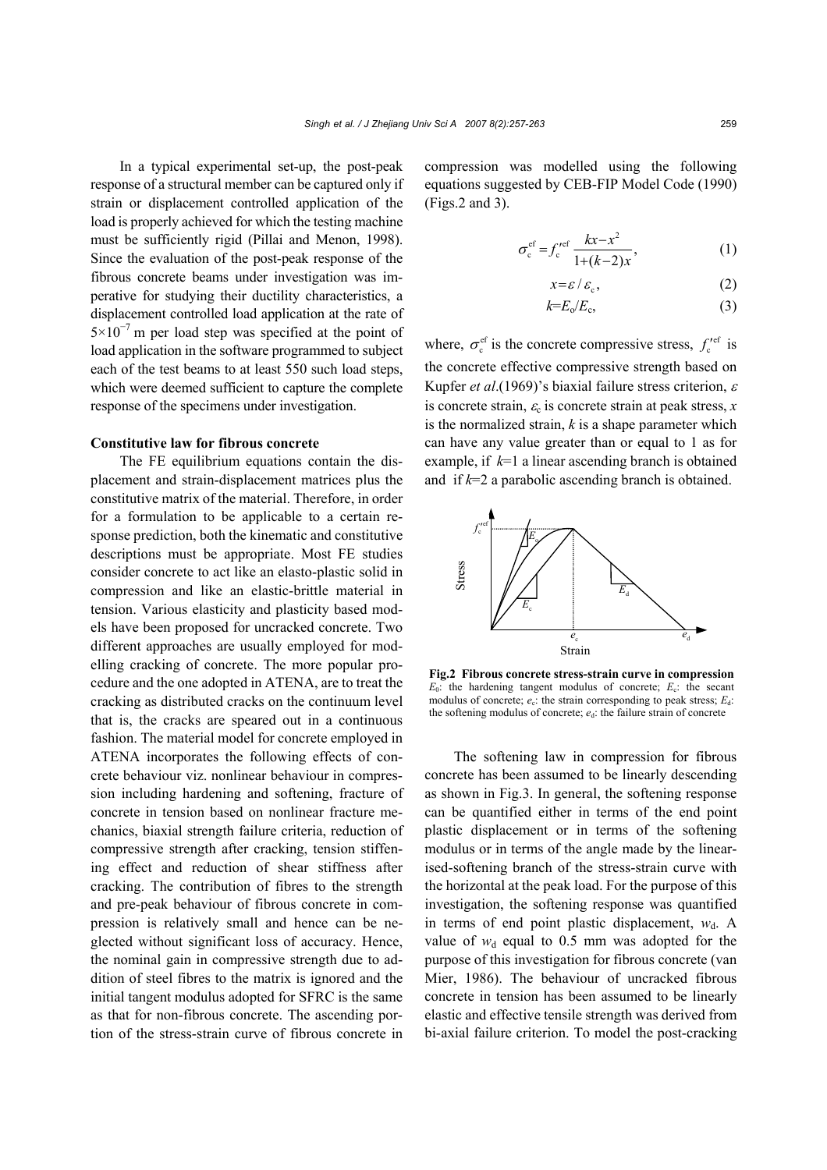In a typical experimental set-up, the post-peak response of a structural member can be captured only if strain or displacement controlled application of the load is properly achieved for which the testing machine must be sufficiently rigid (Pillai and Menon, 1998). Since the evaluation of the post-peak response of the fibrous concrete beams under investigation was imperative for studying their ductility characteristics, a displacement controlled load application at the rate of  $5\times10^{-7}$  m per load step was specified at the point of load application in the software programmed to subject each of the test beams to at least 550 such load steps, which were deemed sufficient to capture the complete response of the specimens under investigation.

#### **Constitutive law for fibrous concrete**

The FE equilibrium equations contain the displacement and strain-displacement matrices plus the constitutive matrix of the material. Therefore, in order for a formulation to be applicable to a certain response prediction, both the kinematic and constitutive descriptions must be appropriate. Most FE studies consider concrete to act like an elasto-plastic solid in compression and like an elastic-brittle material in tension. Various elasticity and plasticity based models have been proposed for uncracked concrete. Two different approaches are usually employed for modelling cracking of concrete. The more popular procedure and the one adopted in ATENA, are to treat the cracking as distributed cracks on the continuum level that is, the cracks are speared out in a continuous fashion. The material model for concrete employed in ATENA incorporates the following effects of concrete behaviour viz. nonlinear behaviour in compression including hardening and softening, fracture of concrete in tension based on nonlinear fracture mechanics, biaxial strength failure criteria, reduction of compressive strength after cracking, tension stiffening effect and reduction of shear stiffness after cracking. The contribution of fibres to the strength and pre-peak behaviour of fibrous concrete in compression is relatively small and hence can be neglected without significant loss of accuracy. Hence, the nominal gain in compressive strength due to addition of steel fibres to the matrix is ignored and the initial tangent modulus adopted for SFRC is the same as that for non-fibrous concrete. The ascending portion of the stress-strain curve of fibrous concrete in

compression was modelled using the following equations suggested by CEB-FIP Model Code (1990) (Figs.2 and 3).

$$
\sigma_{\rm c}^{\rm ef} = f_{\rm c}^{\prime \rm ef} \frac{kx - x^2}{1 + (k - 2)x},\tag{1}
$$

$$
x = \varepsilon / \varepsilon_c, \tag{2}
$$

$$
k=E_o/E_c,\t\t(3)
$$

where,  $\sigma_c^{ef}$  is the concrete compressive stress,  $f_c^{\prime ef}$  is the concrete effective compressive strength based on Kupfer *et al*.(1969)'s biaxial failure stress criterion, <sup>ε</sup> is concrete strain,  $\varepsilon_c$  is concrete strain at peak stress,  $x$ is the normalized strain, *k* is a shape parameter which can have any value greater than or equal to 1 as for example, if *k*=1 a linear ascending branch is obtained and if *k*=2 a parabolic ascending branch is obtained.



**Fig.2 Fibrous concrete stress-strain curve in compression**  $E_0$ : the hardening tangent modulus of concrete;  $E_c$ : the secant modulus of concrete;  $e_c$ : the strain corresponding to peak stress;  $E_d$ : the softening modulus of concrete;  $e_d$ : the failure strain of concrete

The softening law in compression for fibrous concrete has been assumed to be linearly descending as shown in Fig.3. In general, the softening response can be quantified either in terms of the end point plastic displacement or in terms of the softening modulus or in terms of the angle made by the linearised-softening branch of the stress-strain curve with the horizontal at the peak load. For the purpose of this investigation, the softening response was quantified in terms of end point plastic displacement,  $w_d$ . A value of  $w_d$  equal to 0.5 mm was adopted for the purpose of this investigation for fibrous concrete (van Mier, 1986). The behaviour of uncracked fibrous concrete in tension has been assumed to be linearly elastic and effective tensile strength was derived from bi-axial failure criterion. To model the post-cracking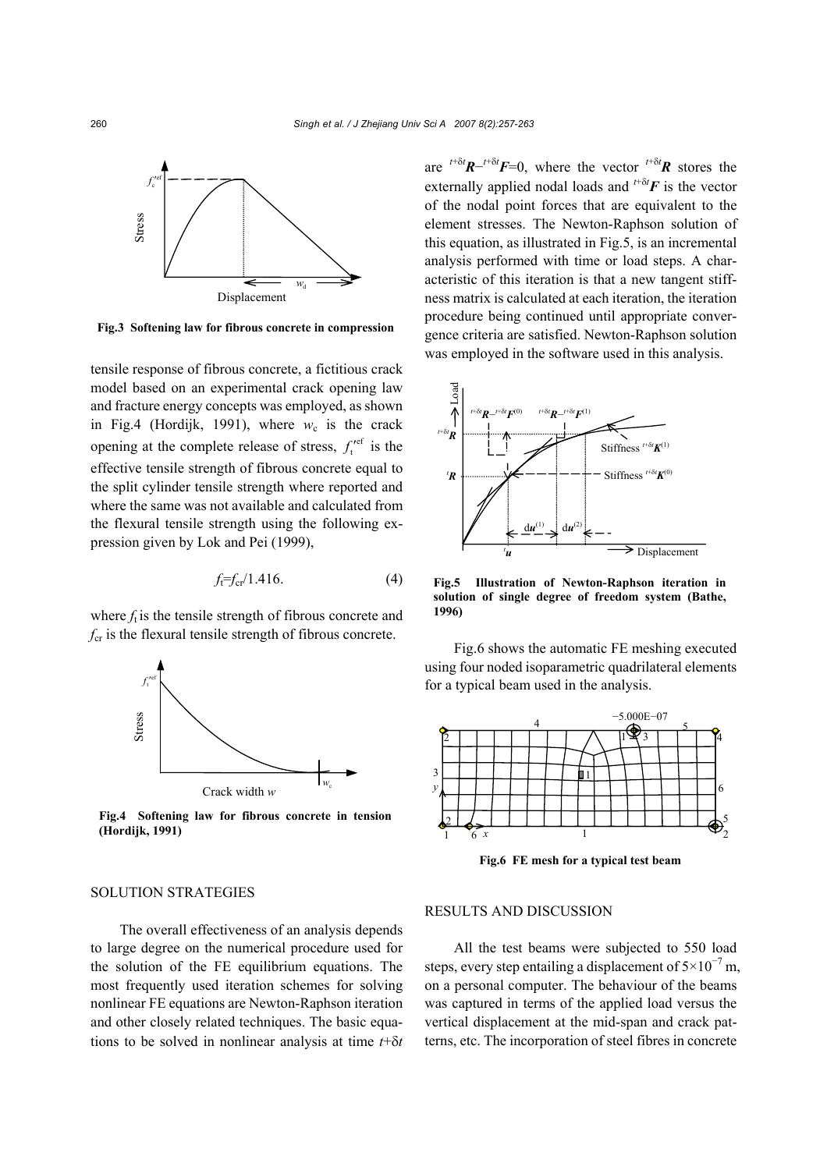

**Fig.3 Softening law for fibrous concrete in compression** 

tensile response of fibrous concrete, a fictitious crack model based on an experimental crack opening law and fracture energy concepts was employed, as shown in Fig.4 (Hordijk, 1991), where  $w_c$  is the crack opening at the complete release of stress,  $f_t^{\text{ref}}$  is the effective tensile strength of fibrous concrete equal to the split cylinder tensile strength where reported and where the same was not available and calculated from the flexural tensile strength using the following expression given by Lok and Pei (1999),

$$
f_t = f_{cr}/1.416.
$$
 (4)

where  $f_t$  is the tensile strength of fibrous concrete and *f*<sub>cr</sub> is the flexural tensile strength of fibrous concrete.



**Fig.4 Softening law for fibrous concrete in tension**

are  $t^{+\delta t}R^{-t+\delta t}F=0$ , where the vector  $t^{+\delta t}R$  stores the externally applied nodal loads and  $t^{+\delta t}$ **F** is the vector of the nodal point forces that are equivalent to the element stresses. The Newton-Raphson solution of this equation, as illustrated in Fig.5, is an incremental analysis performed with time or load steps. A characteristic of this iteration is that a new tangent stiffness matrix is calculated at each iteration, the iteration procedure being continued until appropriate convergence criteria are satisfied. Newton-Raphson solution was employed in the software used in this analysis.



**Fig.5 Illustration of Newton-Raphson iteration in solution of single degree of freedom system (Bathe, 1996)** 

Fig.6 shows the automatic FE meshing executed using four noded isoparametric quadrilateral elements for a typical beam used in the analysis.



**Fig.6 FE mesh for a typical test beam** 

#### SOLUTION STRATEGIES

The overall effectiveness of an analysis depends to large degree on the numerical procedure used for the solution of the FE equilibrium equations. The most frequently used iteration schemes for solving nonlinear FE equations are Newton-Raphson iteration and other closely related techniques. The basic equations to be solved in nonlinear analysis at time *t*+δ*t*

## RESULTS AND DISCUSSION

All the test beams were subjected to 550 load steps, every step entailing a displacement of  $5 \times 10^{-7}$  m, on a personal computer. The behaviour of the beams was captured in terms of the applied load versus the vertical displacement at the mid-span and crack patterns, etc. The incorporation of steel fibres in concrete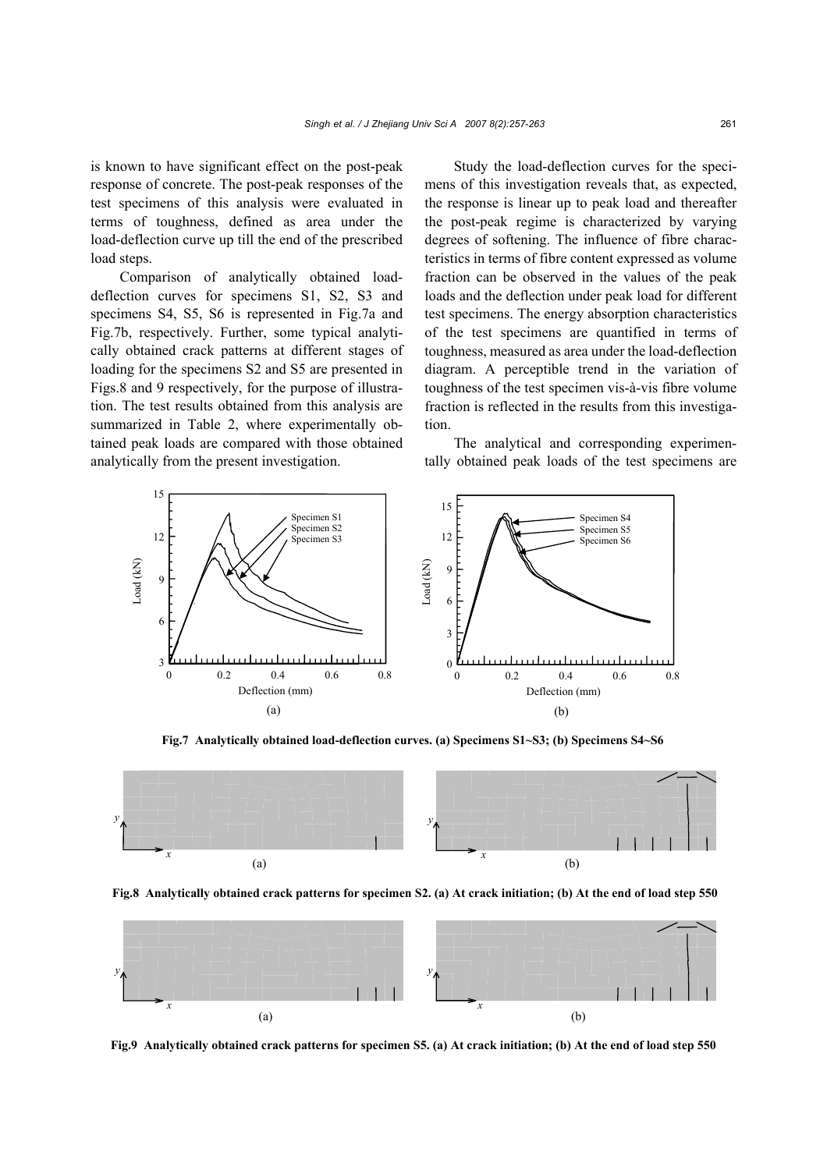is known to have significant effect on the post-peak response of concrete. The post-peak responses of the test specimens of this analysis were evaluated in terms of toughness, defined as area under the load-deflection curve up till the end of the prescribed load steps.

Comparison of analytically obtained loaddeflection curves for specimens S1, S2, S3 and specimens S4, S5, S6 is represented in Fig.7a and Fig.7b, respectively. Further, some typical analytically obtained crack patterns at different stages of loading for the specimens S2 and S5 are presented in Figs.8 and 9 respectively, for the purpose of illustration. The test results obtained from this analysis are summarized in Table 2, where experimentally obtained peak loads are compared with those obtained analytically from the present investigation.

Study the load-deflection curves for the specimens of this investigation reveals that, as expected, the response is linear up to peak load and thereafter the post-peak regime is characterized by varying degrees of softening. The influence of fibre characteristics in terms of fibre content expressed as volume fraction can be observed in the values of the peak loads and the deflection under peak load for different test specimens. The energy absorption characteristics of the test specimens are quantified in terms of toughness, measured as area under the load-deflection diagram. A perceptible trend in the variation of toughness of the test specimen vis-à-vis fibre volume fraction is reflected in the results from this investigation.

The analytical and corresponding experimentally obtained peak loads of the test specimens are



**Fig.7 Analytically obtained load-deflection curves. (a) Specimens S1~S3; (b) Specimens S4~S6** 



**Fig.8 Analytically obtained crack patterns for specimen S2. (a) At crack initiation; (b) At the end of load step 550** 



**Fig.9 Analytically obtained crack patterns for specimen S5. (a) At crack initiation; (b) At the end of load step 550**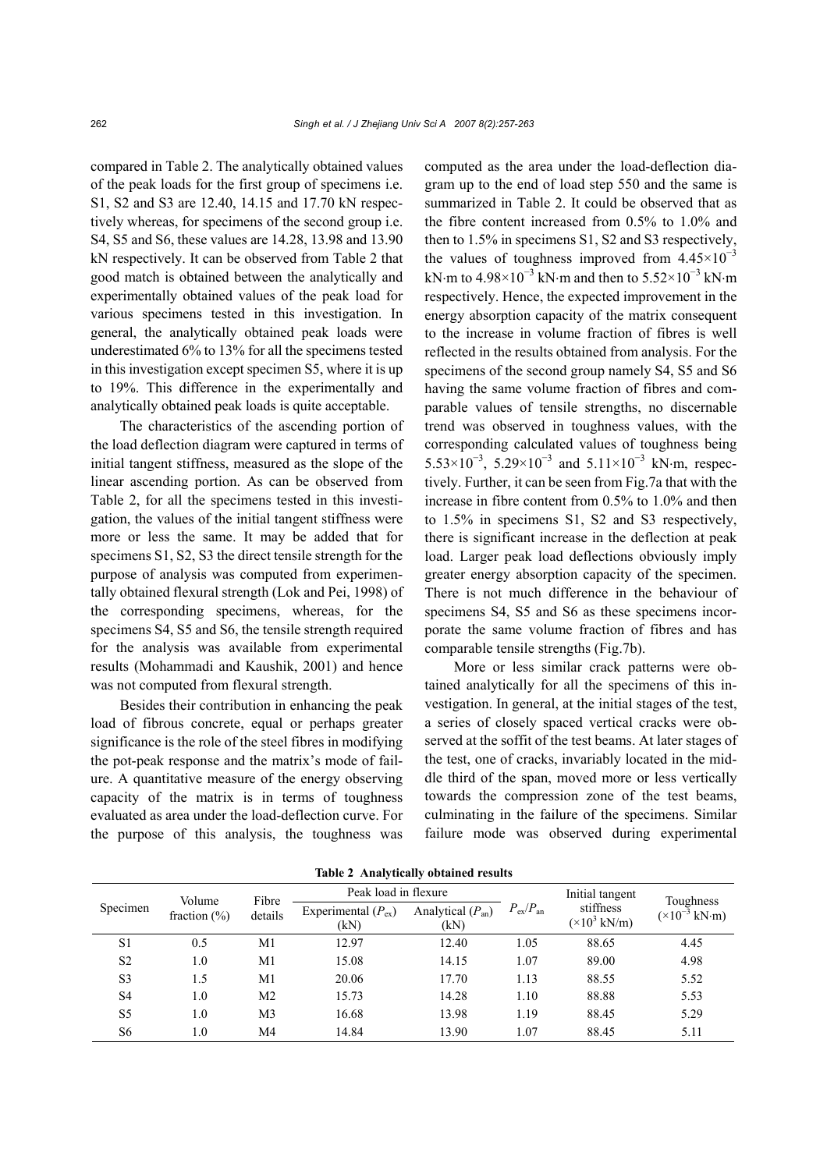compared in Table 2. The analytically obtained values of the peak loads for the first group of specimens i.e. S1, S2 and S3 are 12.40, 14.15 and 17.70 kN respectively whereas, for specimens of the second group i.e. S4, S5 and S6, these values are 14.28, 13.98 and 13.90 kN respectively. It can be observed from Table 2 that good match is obtained between the analytically and experimentally obtained values of the peak load for various specimens tested in this investigation. In general, the analytically obtained peak loads were underestimated 6% to 13% for all the specimens tested in this investigation except specimen S5, where it is up to 19%. This difference in the experimentally and analytically obtained peak loads is quite acceptable.

The characteristics of the ascending portion of the load deflection diagram were captured in terms of initial tangent stiffness, measured as the slope of the linear ascending portion. As can be observed from Table 2, for all the specimens tested in this investigation, the values of the initial tangent stiffness were more or less the same. It may be added that for specimens S1, S2, S3 the direct tensile strength for the purpose of analysis was computed from experimentally obtained flexural strength (Lok and Pei, 1998) of the corresponding specimens, whereas, for the specimens S4, S5 and S6, the tensile strength required for the analysis was available from experimental results (Mohammadi and Kaushik, 2001) and hence was not computed from flexural strength.

Besides their contribution in enhancing the peak load of fibrous concrete, equal or perhaps greater significance is the role of the steel fibres in modifying the pot-peak response and the matrix's mode of failure. A quantitative measure of the energy observing capacity of the matrix is in terms of toughness evaluated as area under the load-deflection curve. For the purpose of this analysis, the toughness was computed as the area under the load-deflection diagram up to the end of load step 550 and the same is summarized in Table 2. It could be observed that as the fibre content increased from 0.5% to 1.0% and then to 1.5% in specimens S1, S2 and S3 respectively, the values of toughness improved from  $4.45\times10^{-3}$ kN⋅m to 4.98×10<sup>-3</sup> kN⋅m and then to 5.52×10<sup>-3</sup> kN⋅m respectively. Hence, the expected improvement in the energy absorption capacity of the matrix consequent to the increase in volume fraction of fibres is well reflected in the results obtained from analysis. For the specimens of the second group namely S4, S5 and S6 having the same volume fraction of fibres and comparable values of tensile strengths, no discernable trend was observed in toughness values, with the corresponding calculated values of toughness being 5.53×10<sup>-3</sup>, 5.29×10<sup>-3</sup> and 5.11×10<sup>-3</sup> kN⋅m, respectively. Further, it can be seen from Fig.7a that with the increase in fibre content from 0.5% to 1.0% and then to 1.5% in specimens S1, S2 and S3 respectively, there is significant increase in the deflection at peak load. Larger peak load deflections obviously imply greater energy absorption capacity of the specimen. There is not much difference in the behaviour of specimens S4, S5 and S6 as these specimens incorporate the same volume fraction of fibres and has comparable tensile strengths (Fig.7b).

More or less similar crack patterns were obtained analytically for all the specimens of this investigation. In general, at the initial stages of the test, a series of closely spaced vertical cracks were observed at the soffit of the test beams. At later stages of the test, one of cracks, invariably located in the middle third of the span, moved more or less vertically towards the compression zone of the test beams, culminating in the failure of the specimens. Similar failure mode was observed during experimental

| Specimen       | Volume           | Fibre<br>details | Peak load in flexure            |                               | Initial tangent         | Toughness                                 |                                              |
|----------------|------------------|------------------|---------------------------------|-------------------------------|-------------------------|-------------------------------------------|----------------------------------------------|
|                | fraction $(\% )$ |                  | Experimental $(P_{ex})$<br>(kN) | Analytical $(P_{an})$<br>(kN) | $P_{\rm ex}/P_{\rm an}$ | stiffness<br>$(\times 10^3 \text{ kN/m})$ | $(\times 10^{-3} \text{ kN} \cdot \text{m})$ |
| S1             | 0.5              | M1               | 12.97                           | 12.40                         | 1.05                    | 88.65                                     | 4.45                                         |
| S <sub>2</sub> | 1.0              | M1               | 15.08                           | 14.15                         | 1.07                    | 89.00                                     | 4.98                                         |
| S <sub>3</sub> | 1.5              | M1               | 20.06                           | 17.70                         | 1.13                    | 88.55                                     | 5.52                                         |
| S4             | 1.0              | M <sub>2</sub>   | 15.73                           | 14.28                         | 1.10                    | 88.88                                     | 5.53                                         |
| S <sub>5</sub> | 1.0              | M3               | 16.68                           | 13.98                         | 1.19                    | 88.45                                     | 5.29                                         |
| S6             | $1.0\,$          | M4               | 14.84                           | 13.90                         | 1.07                    | 88.45                                     | 5.11                                         |

**Table 2 Analytically obtained results**